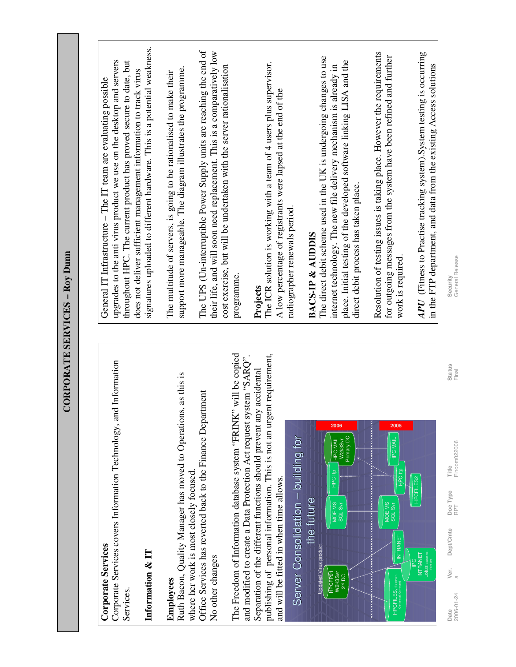| Ξ<br>$\bf{50}$            |
|---------------------------|
|                           |
|                           |
|                           |
| <b>CORPORATE SERVICES</b> |

| ï<br>J.<br>I |
|--------------|
|              |
| S<br>٦       |
|              |

Corporate Services covers Information Technology, and Information Corporate Services covers Information Technology, and Information Services.

## **Information & IT**  Information & IT

## **Employees Employees**

Ruth Bacon, Quality Manager has moved to Operations, as this is Ruth Bacon, Quality Manager has moved to Operations, as this is Office Services has reverted back to the Finance Department Office Services has reverted back to the Finance Department where her work is most closely focused. where her work is most closely focused. No other changes No other changes

The Freedom of Information database system "FRINK" will be copied publishing of personal information. This is not an urgent requirement, The Freedom of Information database system "FRINK" will be copied and modified to create a Data Protection Act request system "SARQ". publishing of personal information. This is not an urgent requirement, and modified to create a Data Protection Act request system "SARQ". Separation of the different functions should prevent any accidental Separation of the different functions should prevent any accidental and will be fitted in when time allows. and will be fitted in when time allows.



signatures uploaded to different hardware. This is a potential weakness. signatures uploaded to different hardware. This is a potential weakness. upgrades to the anti virus product we use on the desktop and servers upgrades to the anti virus product we use on the desktop and servers throughout HPC. The current product has proved secure to date, but throughout HPC. The current product has proved secure to date, but does not deliver sufficient management information to track virus does not deliver sufficient management information to track virus General IT Infrastructure - The IT team are evaluating possible General IT Infrastructure – The IT team are evaluating possible

support more manageable. The diagram illustrates the programme. support more manageable. The diagram illustrates the programme. The multitude of servers, is going to be rationalised to make their The multitude of servers, is going to be rationalised to make their

The UPS (Un-interruptible Power Supply units are reaching the end of their life, and will soon need replacement. This is a comparatively low The UPS (Un-interruptible Power Supply units are reaching the end of their life, and will soon need replacement. This is a comparatively low cost exercise, but will be undertaken with the server rationalisation cost exercise, but will be undertaken with the server rationalisation programme. programme.

The ICR solution is working with a team of 4 users plus supervisor. **Projects**<br>The ICR solution is working with a team of 4 users plus supervisor. A low percentage of registrants were lapsed at the end of the A low percentage of registrants were lapsed at the end of the radiographer renewals period. radiographer renewals period.

## **BACS-IP & AUDDIS BACS-IP & AUDDIS**

The direct debit scheme used in the UK is undergoing changes to use The direct debit scheme used in the UK is undergoing changes to use place. Initial testing of the developed software linking LISA and the place. Initial testing of the developed software linking LISA and the internet technology. The new file delivery mechanism is already in internet technology. The new file delivery mechanism is already in direct debit process has taken place. direct debit process has taken place.

Resolution of testing issues is taking place. However the requirements Resolution of testing issues is taking place. However the requirements for outgoing messages from the system have been refined and further for outgoing messages from the system have been refined and further work is required. work is required.

*APU* (Fitness to Practise tracking system).System testing is occurring APU (Fitness to Practise tracking system). System testing is occurring in the FTP department, and data from the existing Access solutions in the FTP department, and data from the existing Access solutions

Security<br>General Release 2006-01-24 a RPT Fincom022006 Final General Release **Date** Status Status Status Deptype Doc Type Deptype Deptype Deptype Deptype Deptype Deptype Deptype Deptype Deptype Deptype Deptype Deptype Deptype Deptype Deptype Deptype Deptype Deptype Deptype Deptype Deptype Deptype D

Status<br>Final

Ver.  $\mathfrak{a}$